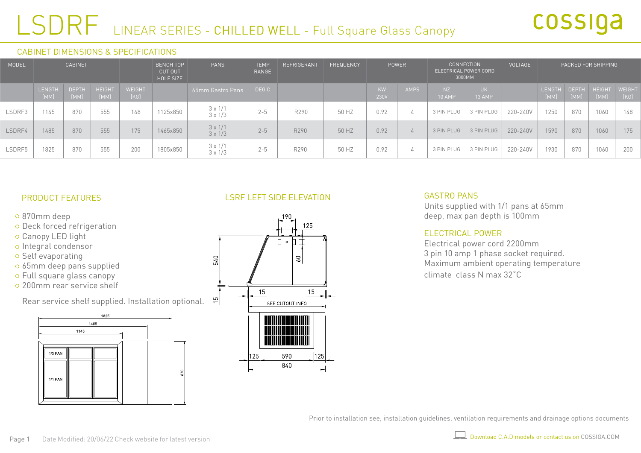## LSDRF LINEAR SERIES - CHILLED WELL - Full Square Glass Canopy

#### CABINET DIMENSIONS & SPECIFICATIONS

| MODEL  | <b>CABINET</b>        |                      |                       | <b>BENCH TOP</b><br>CUT OUT<br>HOLE SIZE |          | <b>PANS</b>                      | <b>TEMP</b><br>RANGE | REFRIGERANT | <b>FREQUENCY</b> | POWER             |             | <b>CONNECTION</b><br>ELECTRICAL POWER CORD<br>3000MM |               | VOLTAGE  | PACKED FOR SHIPPING   |                      |                       |                |
|--------|-----------------------|----------------------|-----------------------|------------------------------------------|----------|----------------------------------|----------------------|-------------|------------------|-------------------|-------------|------------------------------------------------------|---------------|----------|-----------------------|----------------------|-----------------------|----------------|
|        | <b>LENGTH</b><br>[MM] | <b>DEPTH</b><br>[MM] | <b>HEIGHT</b><br>[MM] | <b>WEIGHT</b><br>[KG]                    |          | 65mm Gastro Pans                 | DEG C                |             |                  | <b>KW</b><br>230V | <b>AMPS</b> | NZ<br><b>10 AMP</b>                                  | UK.<br>13 AMP |          | <b>LENGTH</b><br>[MM] | <b>DEPTH</b><br>[MM] | <b>HEIGHT</b><br>[MM] | WEIGHT<br>[KG] |
| LSDRF3 | 1145                  | 870                  | 555                   | 148                                      | 1125x850 | $3 \times 1/1$<br>$3 \times 1/3$ | $2 - 5$              | R290        | 50 HZ            | 0.92              | 4           | 3 PIN PLUG                                           | 3 PIN PLUG    | 220-240V | 1250                  | 870                  | 1060                  | 148            |
| LSDRF4 | 1485                  | 870                  | 555                   | 175                                      | 1465x850 | $3 \times 1/1$<br>$3 \times 1/3$ | $2 - 5$              | R290        | 50 HZ            | 0.92              | 4           | 3 PIN PLUG                                           | 3 PIN PLUG    | 220-240V | 1590                  | 870                  | 1060                  | 175            |
| LSDRF5 | 1825                  | 870                  | 555                   | 200                                      | 1805x850 | $3 \times 1/1$<br>$3 \times 1/3$ | $2 - 5$              | R290        | 50 HZ            | 0.92              | 4           | 3 PIN PLUG                                           | 3 PIN PLUG    | 220-240V | 1930                  | 870                  | 1060                  | 200            |

#### PRODUCT FEATURES

- 870mm deep
- o Deck forced refrigeration
- o Canopy LED light
- o Integral condensor
- o Self evaporating
- 65mm deep pans supplied
- Full square glass canopy
- 200mm rear service shelf

Rear service shelf supplied. Installation optional.



## LSRF LEFT SIDE ELEVATION



#### GASTRO PANS

Units supplied with 1/1 pans at 65mm deep, max pan depth is 100mm

#### ELECTRICAL POWER

Electrical power cord 2200mm 3 pin 10 amp 1 phase socket required. Maximum ambient operating temperature climate class N max 32˚C

Prior to installation see, installation guidelines, ventilation requirements and drainage options documents